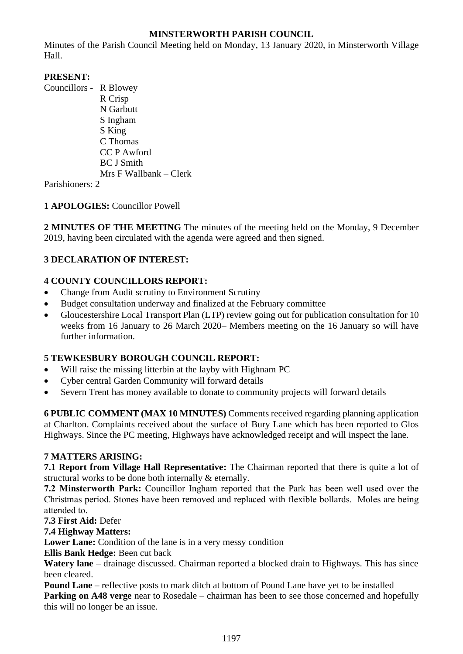## **MINSTERWORTH PARISH COUNCIL**

Minutes of the Parish Council Meeting held on Monday, 13 January 2020, in Minsterworth Village Hall.

## **PRESENT:**

Councillors - R Blowey R Crisp N Garbutt S Ingham S King C Thomas CC P Awford BC J Smith Mrs F Wallbank – Clerk

Parishioners: 2

# **1 APOLOGIES:** Councillor Powell

**2 MINUTES OF THE MEETING** The minutes of the meeting held on the Monday, 9 December 2019, having been circulated with the agenda were agreed and then signed.

# **3 DECLARATION OF INTEREST:**

# **4 COUNTY COUNCILLORS REPORT:**

- Change from Audit scrutiny to Environment Scrutiny
- Budget consultation underway and finalized at the February committee
- Gloucestershire Local Transport Plan (LTP) review going out for publication consultation for 10 weeks from 16 January to 26 March 2020– Members meeting on the 16 January so will have further information.

## **5 TEWKESBURY BOROUGH COUNCIL REPORT:**

- Will raise the missing litterbin at the layby with Highnam PC
- Cyber central Garden Community will forward details
- Severn Trent has money available to donate to community projects will forward details

**6 PUBLIC COMMENT (MAX 10 MINUTES)** Comments received regarding planning application at Charlton. Complaints received about the surface of Bury Lane which has been reported to Glos Highways. Since the PC meeting, Highways have acknowledged receipt and will inspect the lane.

## **7 MATTERS ARISING:**

**7.1 Report from Village Hall Representative:** The Chairman reported that there is quite a lot of structural works to be done both internally & eternally.

**7.2 Minsterworth Park:** Councillor Ingham reported that the Park has been well used over the Christmas period. Stones have been removed and replaced with flexible bollards. Moles are being attended to.

**7.3 First Aid:** Defer

**7.4 Highway Matters:**

Lower Lane: Condition of the lane is in a very messy condition

**Ellis Bank Hedge:** Been cut back

**Watery lane** – drainage discussed. Chairman reported a blocked drain to Highways. This has since been cleared.

**Pound Lane** – reflective posts to mark ditch at bottom of Pound Lane have yet to be installed **Parking on A48 verge** near to Rosedale – chairman has been to see those concerned and hopefully this will no longer be an issue.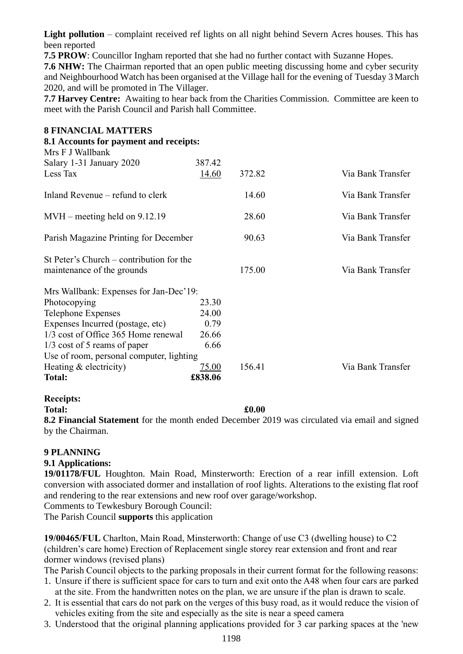Light pollution – complaint received ref lights on all night behind Severn Acres houses. This has been reported

**7.5 PROW**: Councillor Ingham reported that she had no further contact with Suzanne Hopes.

**7.6 NHW:** The Chairman reported that an open public meeting discussing home and cyber security and Neighbourhood Watch has been organised at the Village hall for the evening of Tuesday 3 March 2020, and will be promoted in The Villager.

**7.7 Harvey Centre:** Awaiting to hear back from the Charities Commission. Committee are keen to meet with the Parish Council and Parish hall Committee.

| <b>8 FINANCIAL MATTERS</b>               |              |        |                   |
|------------------------------------------|--------------|--------|-------------------|
| 8.1 Accounts for payment and receipts:   |              |        |                   |
| Mrs F J Wallbank                         |              |        |                   |
| Salary 1-31 January 2020                 | 387.42       |        |                   |
| Less Tax                                 | <u>14.60</u> | 372.82 | Via Bank Transfer |
| Inland Revenue – refund to clerk         |              | 14.60  | Via Bank Transfer |
| $MVH$ – meeting held on 9.12.19          |              | 28.60  | Via Bank Transfer |
| Parish Magazine Printing for December    |              | 90.63  | Via Bank Transfer |
| St Peter's Church – contribution for the |              |        |                   |
| maintenance of the grounds               |              | 175.00 | Via Bank Transfer |
| Mrs Wallbank: Expenses for Jan-Dec'19:   |              |        |                   |
| Photocopying                             | 23.30        |        |                   |
| Telephone Expenses                       | 24.00        |        |                   |
| Expenses Incurred (postage, etc)         | 0.79         |        |                   |
| 1/3 cost of Office 365 Home renewal      | 26.66        |        |                   |
| $1/3$ cost of 5 reams of paper           | 6.66         |        |                   |
| Use of room, personal computer, lighting |              |        |                   |
| Heating $&$ electricity)                 | 75.00        | 156.41 | Via Bank Transfer |
| <b>Total:</b>                            | £838.06      |        |                   |

### **Receipts:**

**Total: £0.00**

**8.2 Financial Statement** for the month ended December 2019 was circulated via email and signed by the Chairman.

## **9 PLANNING**

### **9.1 Applications:**

**19/01178/FUL** Houghton. Main Road, Minsterworth: Erection of a rear infill extension. Loft conversion with associated dormer and installation of roof lights. Alterations to the existing flat roof and rendering to the rear extensions and new roof over garage/workshop.

Comments to Tewkesbury Borough Council:

The Parish Council **supports** this application

**19/00465/FUL** Charlton, Main Road, Minsterworth: Change of use C3 (dwelling house) to C2 (children's care home) Erection of Replacement single storey rear extension and front and rear dormer windows (revised plans)

The Parish Council objects to the parking proposals in their current format for the following reasons:

- 1. Unsure if there is sufficient space for cars to turn and exit onto the A48 when four cars are parked at the site. From the handwritten notes on the plan, we are unsure if the plan is drawn to scale.
- 2. It is essential that cars do not park on the verges of this busy road, as it would reduce the vision of vehicles exiting from the site and especially as the site is near a speed camera
- 3. Understood that the original planning applications provided for 3 car parking spaces at the 'new